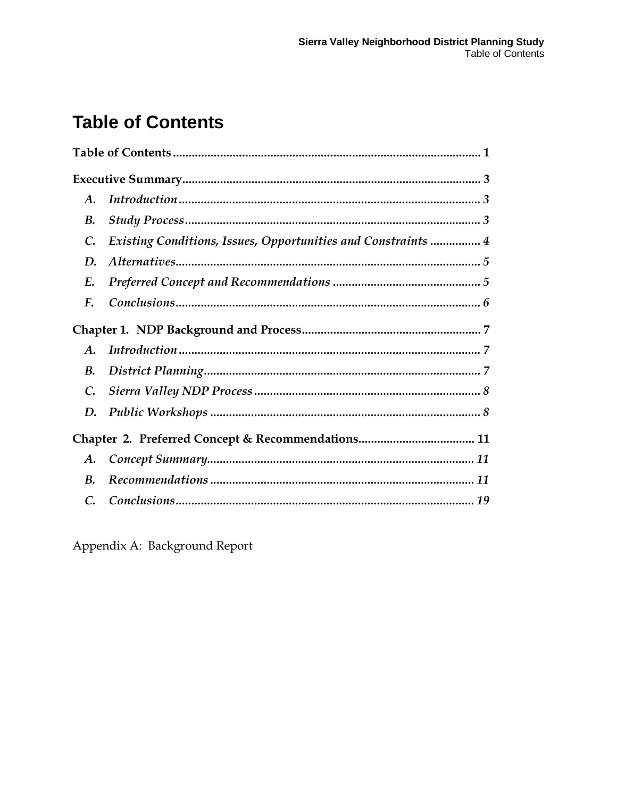# <span id="page-0-0"></span>**Table of Contents**

| A.        |                                                               |
|-----------|---------------------------------------------------------------|
| В.        |                                                               |
| C.        | Existing Conditions, Issues, Opportunities and Constraints  4 |
| D.        |                                                               |
| E.        |                                                               |
| F.        |                                                               |
|           |                                                               |
| A.        |                                                               |
| <b>B.</b> |                                                               |
| C.        |                                                               |
| D.        |                                                               |
|           |                                                               |
| A.        |                                                               |
| <b>B.</b> |                                                               |
|           |                                                               |

Appendix A: Background Report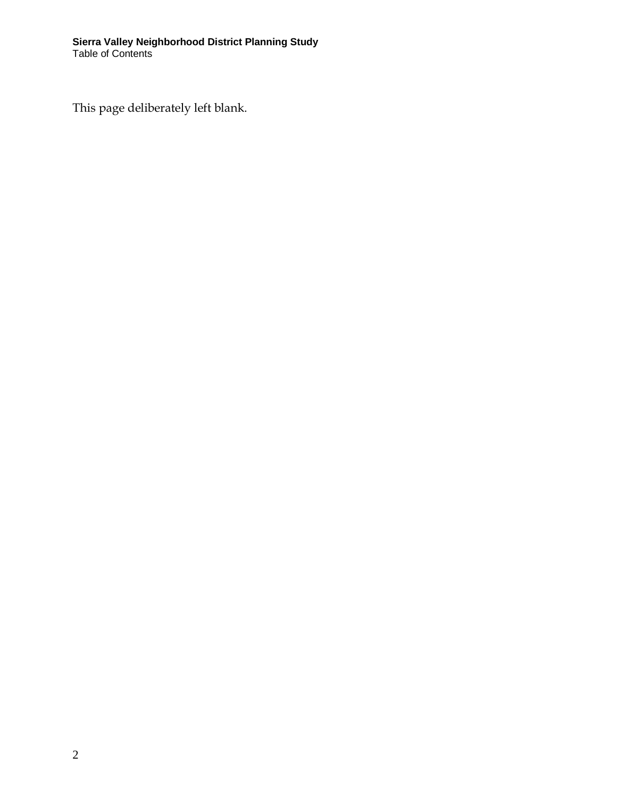This page deliberately left blank.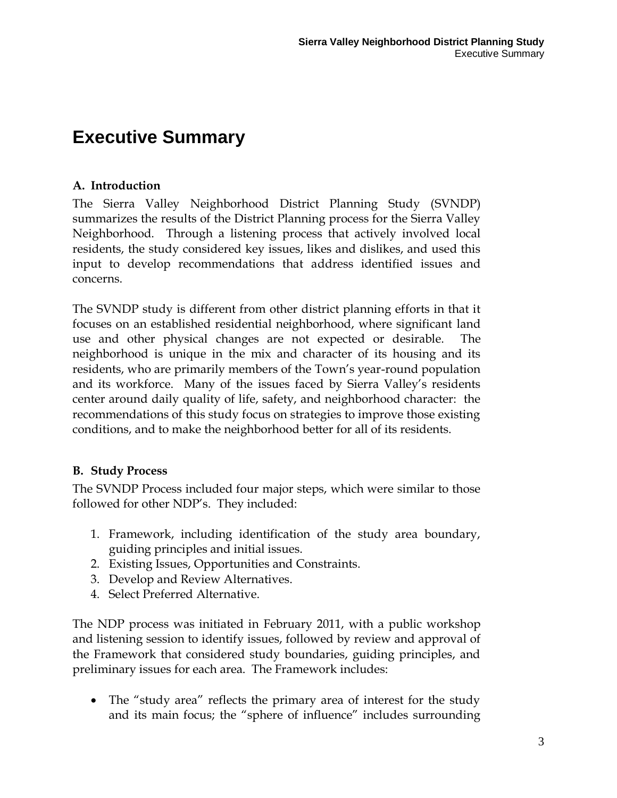# <span id="page-2-0"></span>**Executive Summary**

### <span id="page-2-1"></span>**A. Introduction**

The Sierra Valley Neighborhood District Planning Study (SVNDP) summarizes the results of the District Planning process for the Sierra Valley Neighborhood. Through a listening process that actively involved local residents, the study considered key issues, likes and dislikes, and used this input to develop recommendations that address identified issues and concerns.

The SVNDP study is different from other district planning efforts in that it focuses on an established residential neighborhood, where significant land use and other physical changes are not expected or desirable. The neighborhood is unique in the mix and character of its housing and its residents, who are primarily members of the Town's year-round population and its workforce. Many of the issues faced by Sierra Valley's residents center around daily quality of life, safety, and neighborhood character: the recommendations of this study focus on strategies to improve those existing conditions, and to make the neighborhood better for all of its residents.

#### <span id="page-2-2"></span>**B. Study Process**

The SVNDP Process included four major steps, which were similar to those followed for other NDP's. They included:

- 1. Framework, including identification of the study area boundary, guiding principles and initial issues.
- 2. Existing Issues, Opportunities and Constraints.
- 3. Develop and Review Alternatives.
- 4. Select Preferred Alternative.

The NDP process was initiated in February 2011, with a public workshop and listening session to identify issues, followed by review and approval of the Framework that considered study boundaries, guiding principles, and preliminary issues for each area. The Framework includes:

• The "study area" reflects the primary area of interest for the study and its main focus; the "sphere of influence" includes surrounding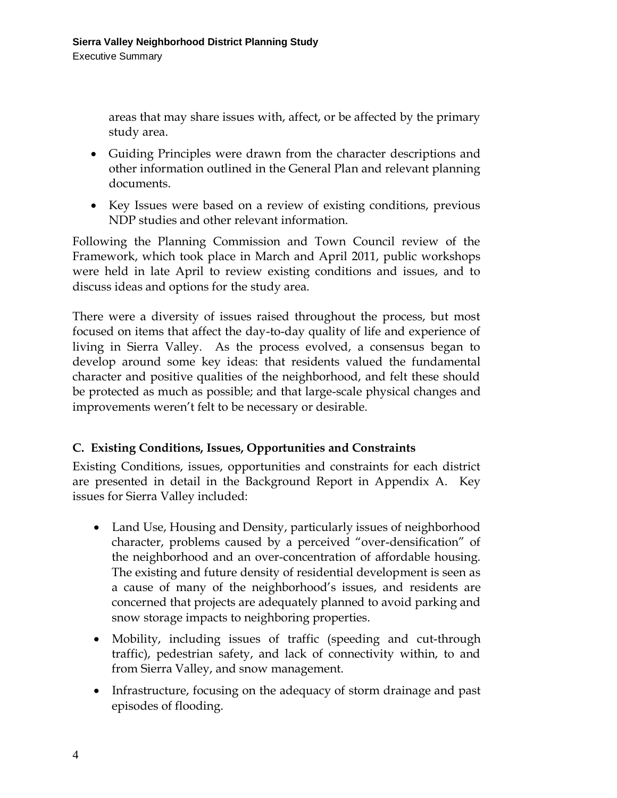areas that may share issues with, affect, or be affected by the primary study area.

- Guiding Principles were drawn from the character descriptions and other information outlined in the General Plan and relevant planning documents.
- Key Issues were based on a review of existing conditions, previous NDP studies and other relevant information.

Following the Planning Commission and Town Council review of the Framework, which took place in March and April 2011, public workshops were held in late April to review existing conditions and issues, and to discuss ideas and options for the study area.

There were a diversity of issues raised throughout the process, but most focused on items that affect the day-to-day quality of life and experience of living in Sierra Valley. As the process evolved, a consensus began to develop around some key ideas: that residents valued the fundamental character and positive qualities of the neighborhood, and felt these should be protected as much as possible; and that large-scale physical changes and improvements weren't felt to be necessary or desirable.

# <span id="page-3-0"></span>**C. Existing Conditions, Issues, Opportunities and Constraints**

Existing Conditions, issues, opportunities and constraints for each district are presented in detail in the Background Report in Appendix A. Key issues for Sierra Valley included:

- Land Use, Housing and Density, particularly issues of neighborhood character, problems caused by a perceived "over-densification" of the neighborhood and an over-concentration of affordable housing. The existing and future density of residential development is seen as a cause of many of the neighborhood's issues, and residents are concerned that projects are adequately planned to avoid parking and snow storage impacts to neighboring properties.
- Mobility, including issues of traffic (speeding and cut-through traffic), pedestrian safety, and lack of connectivity within, to and from Sierra Valley, and snow management.
- Infrastructure, focusing on the adequacy of storm drainage and past episodes of flooding.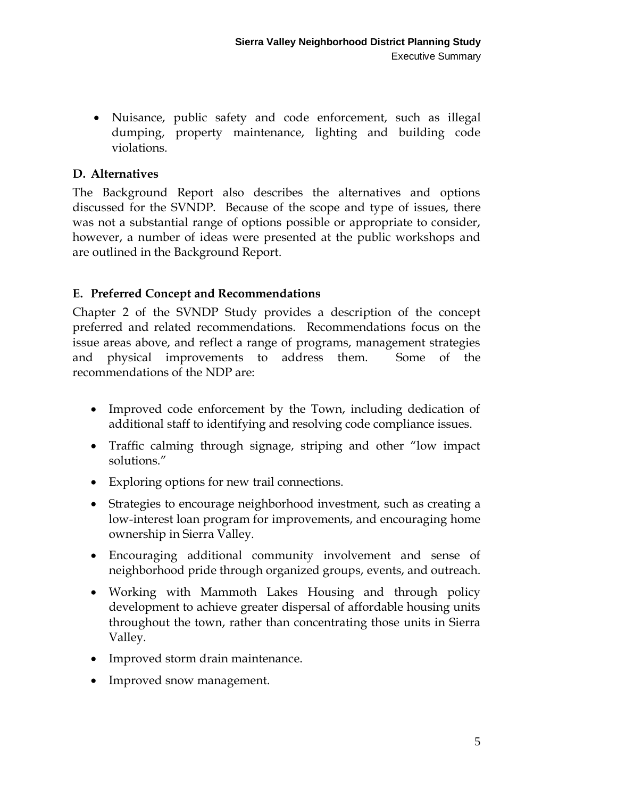• Nuisance, public safety and code enforcement, such as illegal dumping, property maintenance, lighting and building code violations.

# <span id="page-4-0"></span>**D. Alternatives**

The Background Report also describes the alternatives and options discussed for the SVNDP. Because of the scope and type of issues, there was not a substantial range of options possible or appropriate to consider, however, a number of ideas were presented at the public workshops and are outlined in the Background Report.

### <span id="page-4-1"></span>**E. Preferred Concept and Recommendations**

Chapter 2 of the SVNDP Study provides a description of the concept preferred and related recommendations. Recommendations focus on the issue areas above, and reflect a range of programs, management strategies and physical improvements to address them. Some of the recommendations of the NDP are:

- Improved code enforcement by the Town, including dedication of additional staff to identifying and resolving code compliance issues.
- Traffic calming through signage, striping and other "low impact" solutions."
- Exploring options for new trail connections.
- Strategies to encourage neighborhood investment, such as creating a low-interest loan program for improvements, and encouraging home ownership in Sierra Valley.
- Encouraging additional community involvement and sense of neighborhood pride through organized groups, events, and outreach.
- Working with Mammoth Lakes Housing and through policy development to achieve greater dispersal of affordable housing units throughout the town, rather than concentrating those units in Sierra Valley.
- Improved storm drain maintenance.
- Improved snow management.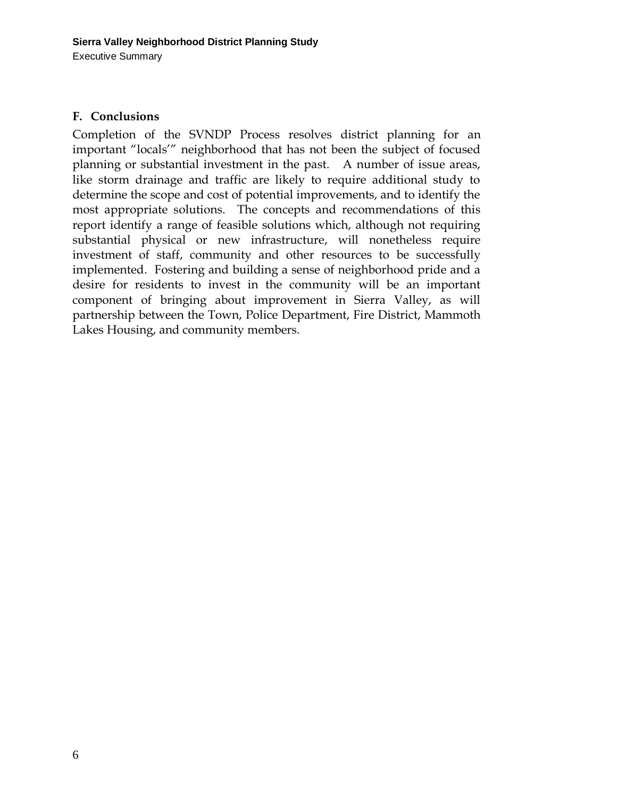# <span id="page-5-0"></span>**F. Conclusions**

Completion of the SVNDP Process resolves district planning for an important "locals'" neighborhood that has not been the subject of focused planning or substantial investment in the past. A number of issue areas, like storm drainage and traffic are likely to require additional study to determine the scope and cost of potential improvements, and to identify the most appropriate solutions. The concepts and recommendations of this report identify a range of feasible solutions which, although not requiring substantial physical or new infrastructure, will nonetheless require investment of staff, community and other resources to be successfully implemented. Fostering and building a sense of neighborhood pride and a desire for residents to invest in the community will be an important component of bringing about improvement in Sierra Valley, as will partnership between the Town, Police Department, Fire District, Mammoth Lakes Housing, and community members.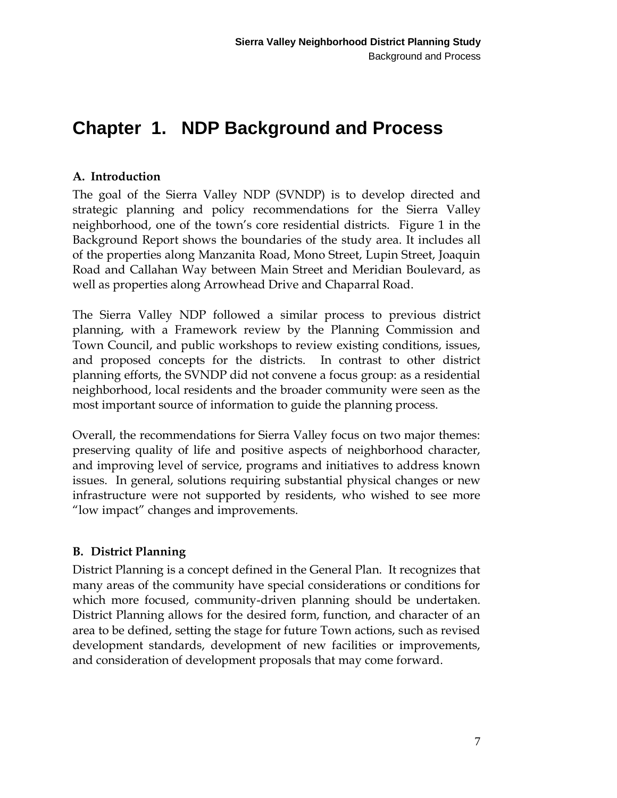# <span id="page-6-0"></span>**Chapter 1. NDP Background and Process**

# <span id="page-6-1"></span>**A. Introduction**

The goal of the Sierra Valley NDP (SVNDP) is to develop directed and strategic planning and policy recommendations for the Sierra Valley neighborhood, one of the town's core residential districts. Figure 1 in the Background Report shows the boundaries of the study area. It includes all of the properties along Manzanita Road, Mono Street, Lupin Street, Joaquin Road and Callahan Way between Main Street and Meridian Boulevard, as well as properties along Arrowhead Drive and Chaparral Road.

The Sierra Valley NDP followed a similar process to previous district planning, with a Framework review by the Planning Commission and Town Council, and public workshops to review existing conditions, issues, and proposed concepts for the districts. In contrast to other district planning efforts, the SVNDP did not convene a focus group: as a residential neighborhood, local residents and the broader community were seen as the most important source of information to guide the planning process.

Overall, the recommendations for Sierra Valley focus on two major themes: preserving quality of life and positive aspects of neighborhood character, and improving level of service, programs and initiatives to address known issues. In general, solutions requiring substantial physical changes or new infrastructure were not supported by residents, who wished to see more "low impact" changes and improvements.

# <span id="page-6-2"></span>**B. District Planning**

District Planning is a concept defined in the General Plan. It recognizes that many areas of the community have special considerations or conditions for which more focused, community-driven planning should be undertaken. District Planning allows for the desired form, function, and character of an area to be defined, setting the stage for future Town actions, such as revised development standards, development of new facilities or improvements, and consideration of development proposals that may come forward.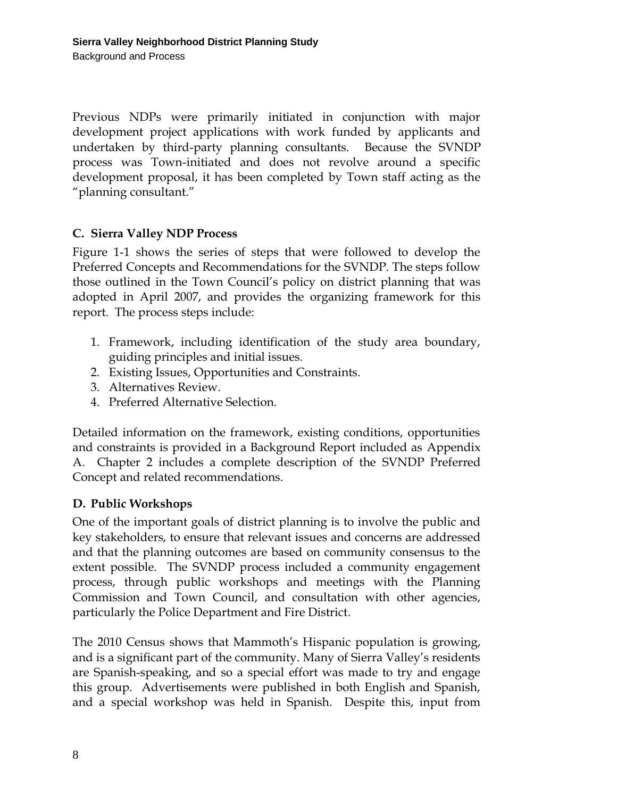Previous NDPs were primarily initiated in conjunction with major development project applications with work funded by applicants and undertaken by third-party planning consultants. Because the SVNDP process was Town-initiated and does not revolve around a specific development proposal, it has been completed by Town staff acting as the "planning consultant."

# <span id="page-7-0"></span>**C. Sierra Valley NDP Process**

[Figure 1-1](#page-8-0) shows the series of steps that were followed to develop the Preferred Concepts and Recommendations for the SVNDP. The steps follow those outlined in the Town Council's policy on district planning that was adopted in April 2007, and provides the organizing framework for this report. The process steps include:

- 1. Framework, including identification of the study area boundary, guiding principles and initial issues.
- 2. Existing Issues, Opportunities and Constraints.
- 3. Alternatives Review.
- 4. Preferred Alternative Selection.

Detailed information on the framework, existing conditions, opportunities and constraints is provided in a Background Report included as Appendix A. Chapter 2 includes a complete description of the SVNDP Preferred Concept and related recommendations.

# <span id="page-7-1"></span>**D. Public Workshops**

One of the important goals of district planning is to involve the public and key stakeholders, to ensure that relevant issues and concerns are addressed and that the planning outcomes are based on community consensus to the extent possible. The SVNDP process included a community engagement process, through public workshops and meetings with the Planning Commission and Town Council, and consultation with other agencies, particularly the Police Department and Fire District.

The 2010 Census shows that Mammoth's Hispanic population is growing, and is a significant part of the community. Many of Sierra Valley's residents are Spanish-speaking, and so a special effort was made to try and engage this group. Advertisements were published in both English and Spanish, and a special workshop was held in Spanish. Despite this, input from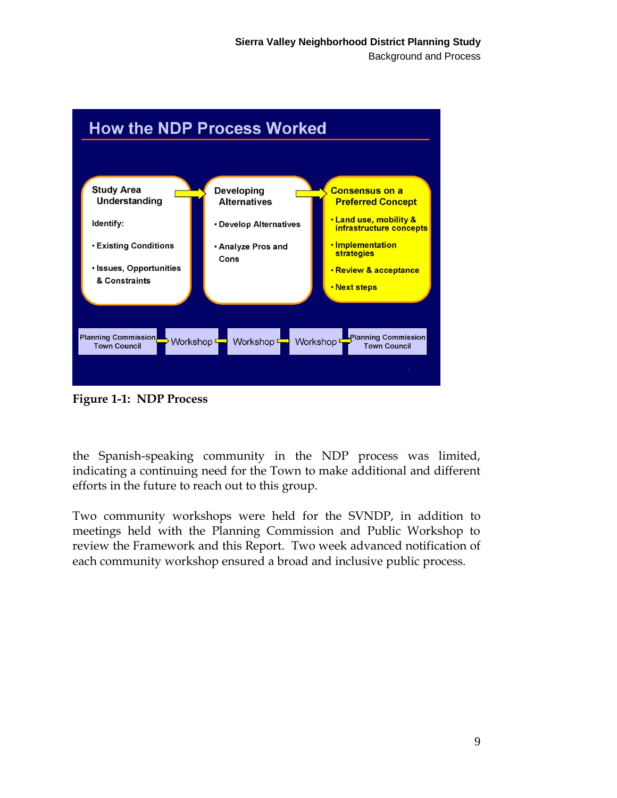

<span id="page-8-0"></span>**Figure 1-1: NDP Process**

the Spanish-speaking community in the NDP process was limited, indicating a continuing need for the Town to make additional and different efforts in the future to reach out to this group.

Two community workshops were held for the SVNDP, in addition to meetings held with the Planning Commission and Public Workshop to review the Framework and this Report. Two week advanced notification of each community workshop ensured a broad and inclusive public process.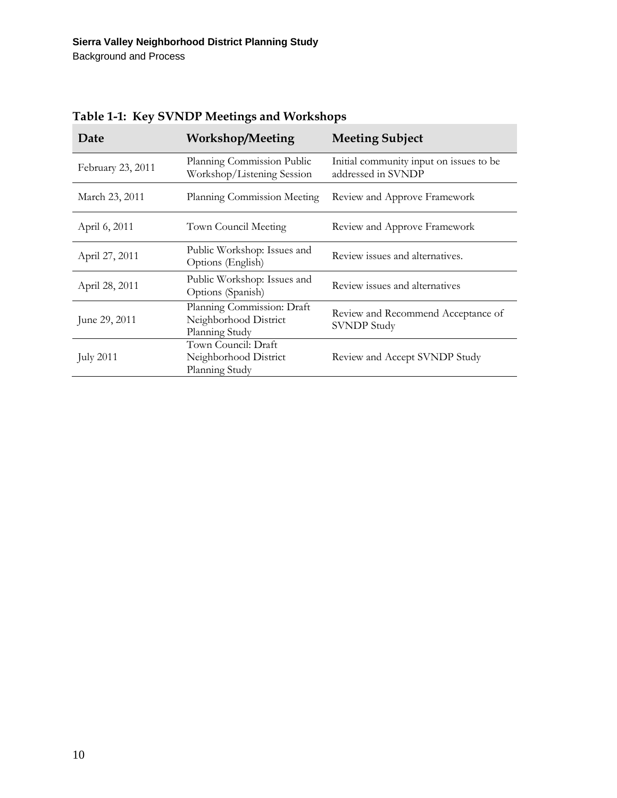| Date              | <b>Workshop/Meeting</b>                                               | <b>Meeting Subject</b>                                        |  |
|-------------------|-----------------------------------------------------------------------|---------------------------------------------------------------|--|
| February 23, 2011 | Planning Commission Public<br>Workshop/Listening Session              | Initial community input on issues to be<br>addressed in SVNDP |  |
| March 23, 2011    | Planning Commission Meeting                                           | Review and Approve Framework                                  |  |
| April 6, 2011     | Town Council Meeting                                                  | Review and Approve Framework                                  |  |
| April 27, 2011    | Public Workshop: Issues and<br>Options (English)                      | Review issues and alternatives.                               |  |
| April 28, 2011    | Public Workshop: Issues and<br>Options (Spanish)                      | Review issues and alternatives                                |  |
| June 29, 2011     | Planning Commission: Draft<br>Neighborhood District<br>Planning Study | Review and Recommend Acceptance of<br><b>SVNDP Study</b>      |  |
| <b>July 2011</b>  | Town Council: Draft<br>Neighborhood District<br>Planning Study        | Review and Accept SVNDP Study                                 |  |

|  | Table 1-1: Key SVNDP Meetings and Workshops |  |
|--|---------------------------------------------|--|
|  |                                             |  |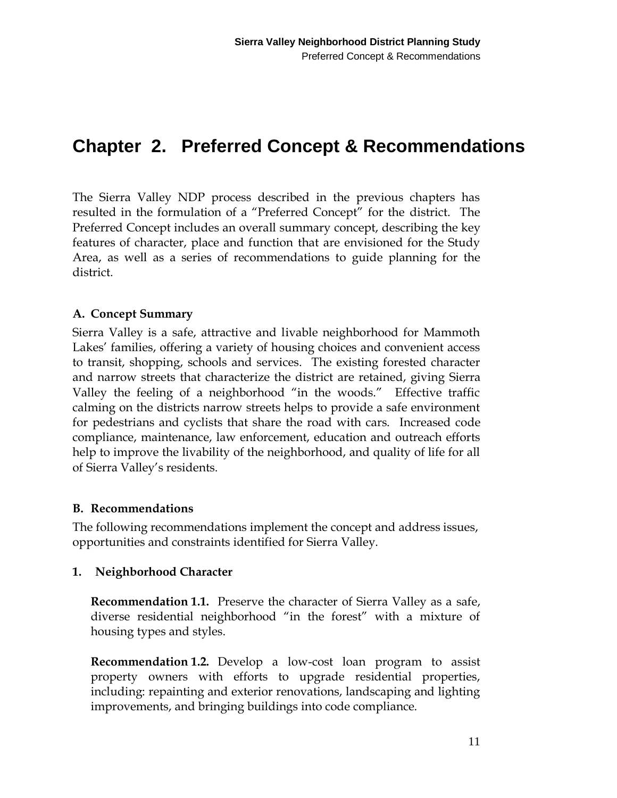# <span id="page-10-0"></span>**Chapter 2. Preferred Concept & Recommendations**

The Sierra Valley NDP process described in the previous chapters has resulted in the formulation of a "Preferred Concept" for the district. The Preferred Concept includes an overall summary concept, describing the key features of character, place and function that are envisioned for the Study Area, as well as a series of recommendations to guide planning for the district.

### <span id="page-10-1"></span>**A. Concept Summary**

Sierra Valley is a safe, attractive and livable neighborhood for Mammoth Lakes' families, offering a variety of housing choices and convenient access to transit, shopping, schools and services. The existing forested character and narrow streets that characterize the district are retained, giving Sierra Valley the feeling of a neighborhood "in the woods." Effective traffic calming on the districts narrow streets helps to provide a safe environment for pedestrians and cyclists that share the road with cars. Increased code compliance, maintenance, law enforcement, education and outreach efforts help to improve the livability of the neighborhood, and quality of life for all of Sierra Valley's residents.

#### <span id="page-10-2"></span>**B. Recommendations**

The following recommendations implement the concept and address issues, opportunities and constraints identified for Sierra Valley.

#### **1. Neighborhood Character**

**Recommendation 1.1.** Preserve the character of Sierra Valley as a safe, diverse residential neighborhood "in the forest" with a mixture of housing types and styles.

**Recommendation 1.2.** Develop a low-cost loan program to assist property owners with efforts to upgrade residential properties, including: repainting and exterior renovations, landscaping and lighting improvements, and bringing buildings into code compliance.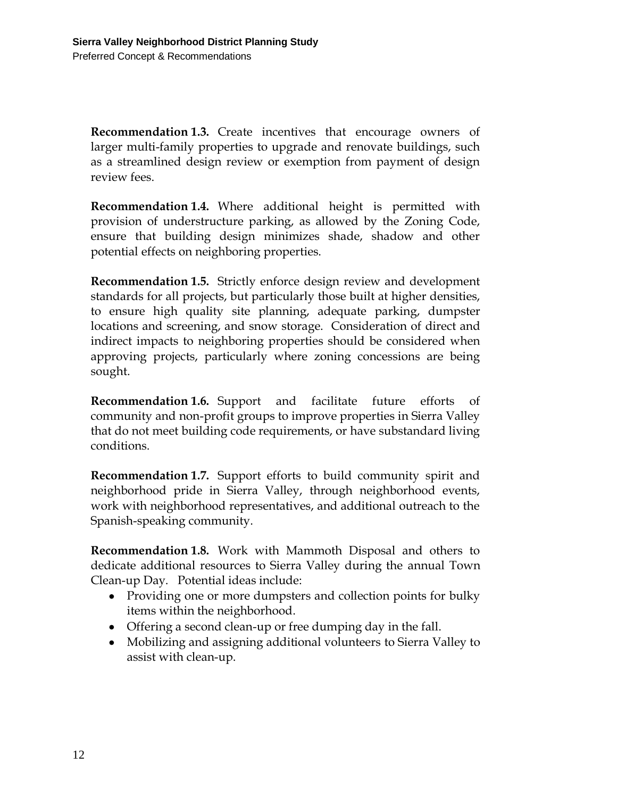**Recommendation 1.3.** Create incentives that encourage owners of larger multi-family properties to upgrade and renovate buildings, such as a streamlined design review or exemption from payment of design review fees.

**Recommendation 1.4.** Where additional height is permitted with provision of understructure parking, as allowed by the Zoning Code, ensure that building design minimizes shade, shadow and other potential effects on neighboring properties.

**Recommendation 1.5.** Strictly enforce design review and development standards for all projects, but particularly those built at higher densities, to ensure high quality site planning, adequate parking, dumpster locations and screening, and snow storage. Consideration of direct and indirect impacts to neighboring properties should be considered when approving projects, particularly where zoning concessions are being sought.

**Recommendation 1.6.** Support and facilitate future efforts of community and non-profit groups to improve properties in Sierra Valley that do not meet building code requirements, or have substandard living conditions.

**Recommendation 1.7.** Support efforts to build community spirit and neighborhood pride in Sierra Valley, through neighborhood events, work with neighborhood representatives, and additional outreach to the Spanish-speaking community.

**Recommendation 1.8.** Work with Mammoth Disposal and others to dedicate additional resources to Sierra Valley during the annual Town Clean-up Day. Potential ideas include:

- Providing one or more dumpsters and collection points for bulky items within the neighborhood.
- Offering a second clean-up or free dumping day in the fall.
- Mobilizing and assigning additional volunteers to Sierra Valley to assist with clean-up.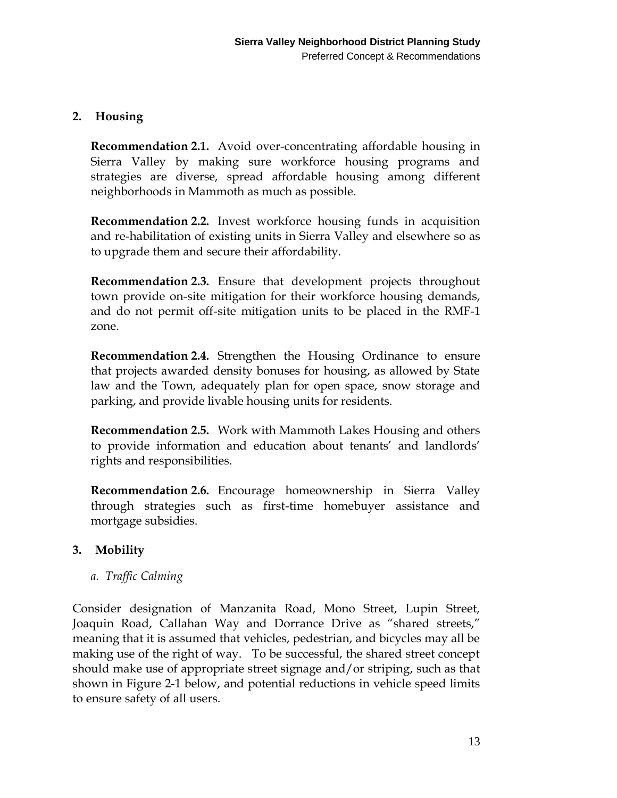# **2. Housing**

**Recommendation 2.1.** Avoid over-concentrating affordable housing in Sierra Valley by making sure workforce housing programs and strategies are diverse, spread affordable housing among different neighborhoods in Mammoth as much as possible.

**Recommendation 2.2.** Invest workforce housing funds in acquisition and re-habilitation of existing units in Sierra Valley and elsewhere so as to upgrade them and secure their affordability.

**Recommendation 2.3.** Ensure that development projects throughout town provide on-site mitigation for their workforce housing demands, and do not permit off-site mitigation units to be placed in the RMF-1 zone.

**Recommendation 2.4.** Strengthen the Housing Ordinance to ensure that projects awarded density bonuses for housing, as allowed by State law and the Town, adequately plan for open space, snow storage and parking, and provide livable housing units for residents.

**Recommendation 2.5.** Work with Mammoth Lakes Housing and others to provide information and education about tenants' and landlords' rights and responsibilities.

**Recommendation 2.6.** Encourage homeownership in Sierra Valley through strategies such as first-time homebuyer assistance and mortgage subsidies.

# **3. Mobility**

# *a. Traffic Calming*

Consider designation of Manzanita Road, Mono Street, Lupin Street, Joaquin Road, Callahan Way and Dorrance Drive as "shared streets," meaning that it is assumed that vehicles, pedestrian, and bicycles may all be making use of the right of way. To be successful, the shared street concept should make use of appropriate street signage and/or striping, such as that shown in [Figure 2-1](#page-13-0) below, and potential reductions in vehicle speed limits to ensure safety of all users.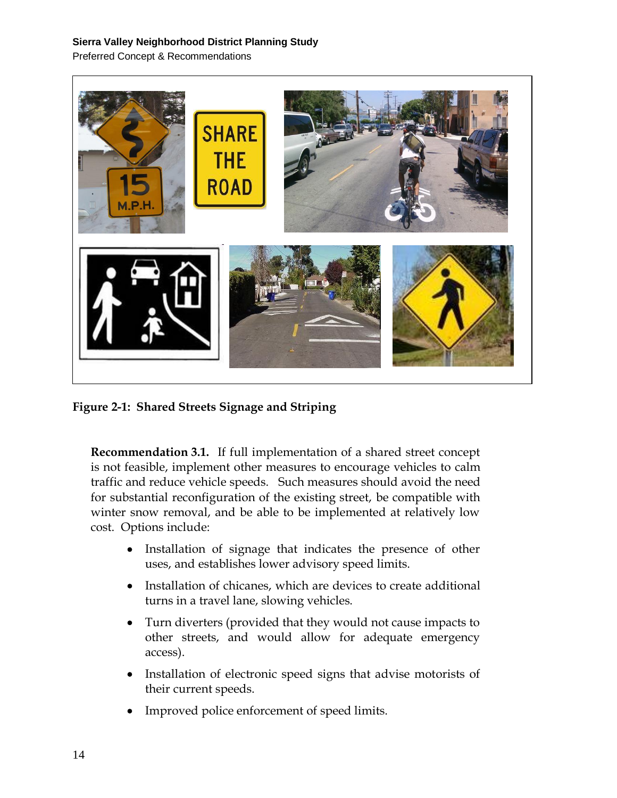#### **Sierra Valley Neighborhood District Planning Study**

Preferred Concept & Recommendations



**Figure 2-1: Shared Streets Signage and Striping**

<span id="page-13-0"></span>**Recommendation 3.1.** If full implementation of a shared street concept is not feasible, implement other measures to encourage vehicles to calm traffic and reduce vehicle speeds. Such measures should avoid the need for substantial reconfiguration of the existing street, be compatible with winter snow removal, and be able to be implemented at relatively low cost. Options include:

- Installation of signage that indicates the presence of other uses, and establishes lower advisory speed limits.
- Installation of chicanes, which are devices to create additional turns in a travel lane, slowing vehicles.
- Turn diverters (provided that they would not cause impacts to other streets, and would allow for adequate emergency access).
- Installation of electronic speed signs that advise motorists of their current speeds.
- Improved police enforcement of speed limits.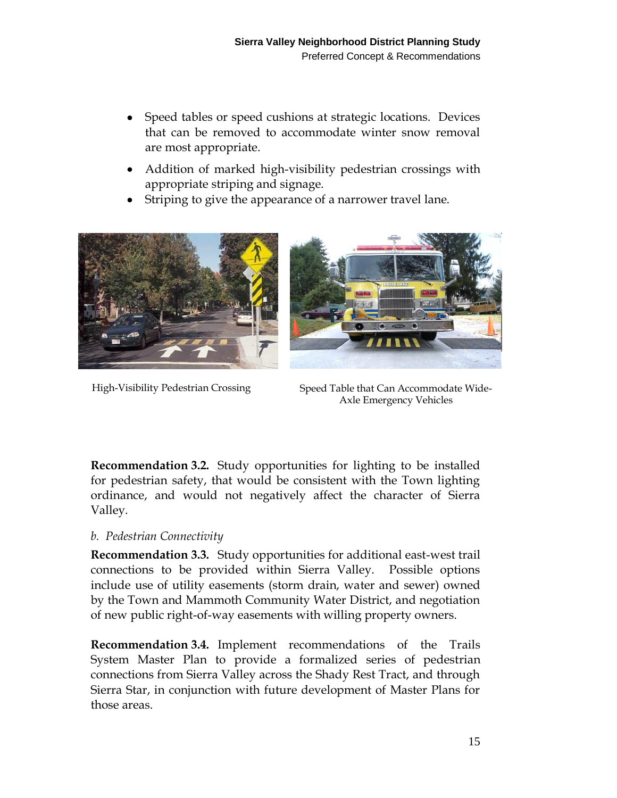- Speed tables or speed cushions at strategic locations. Devices that can be removed to accommodate winter snow removal are most appropriate.
- Addition of marked high-visibility pedestrian crossings with appropriate striping and signage.
- Striping to give the appearance of a narrower travel lane.





High-Visibility Pedestrian Crossing Speed Table that Can Accommodate Wide-Axle Emergency Vehicles

**Recommendation 3.2.** Study opportunities for lighting to be installed for pedestrian safety, that would be consistent with the Town lighting ordinance, and would not negatively affect the character of Sierra Valley.

#### *b. Pedestrian Connectivity*

**Recommendation 3.3.** Study opportunities for additional east-west trail connections to be provided within Sierra Valley. Possible options include use of utility easements (storm drain, water and sewer) owned by the Town and Mammoth Community Water District, and negotiation of new public right-of-way easements with willing property owners.

**Recommendation 3.4.** Implement recommendations of the Trails System Master Plan to provide a formalized series of pedestrian connections from Sierra Valley across the Shady Rest Tract, and through Sierra Star, in conjunction with future development of Master Plans for those areas.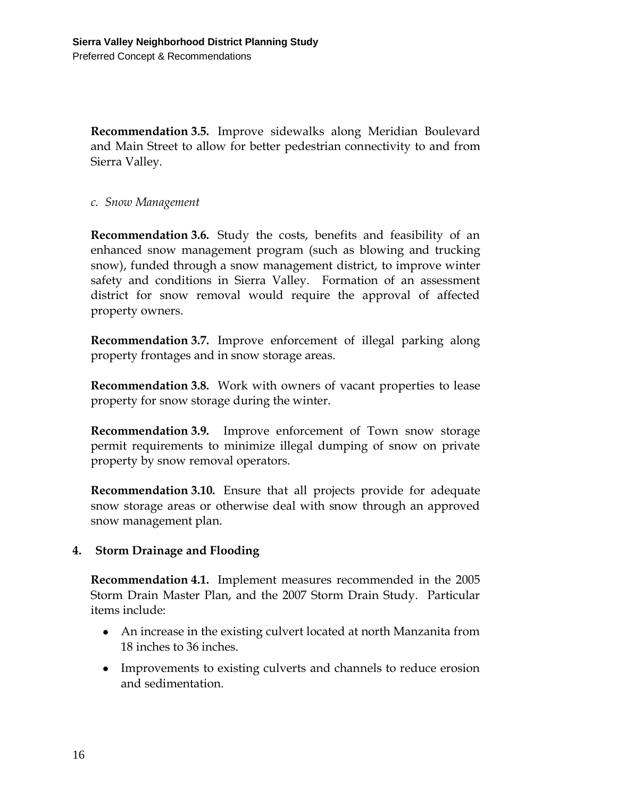**Recommendation 3.5.** Improve sidewalks along Meridian Boulevard and Main Street to allow for better pedestrian connectivity to and from Sierra Valley.

#### *c. Snow Management*

**Recommendation 3.6.** Study the costs, benefits and feasibility of an enhanced snow management program (such as blowing and trucking snow), funded through a snow management district, to improve winter safety and conditions in Sierra Valley. Formation of an assessment district for snow removal would require the approval of affected property owners.

**Recommendation 3.7.** Improve enforcement of illegal parking along property frontages and in snow storage areas.

**Recommendation 3.8.** Work with owners of vacant properties to lease property for snow storage during the winter.

**Recommendation 3.9.** Improve enforcement of Town snow storage permit requirements to minimize illegal dumping of snow on private property by snow removal operators.

**Recommendation 3.10.** Ensure that all projects provide for adequate snow storage areas or otherwise deal with snow through an approved snow management plan.

#### **4. Storm Drainage and Flooding**

**Recommendation 4.1.** Implement measures recommended in the 2005 Storm Drain Master Plan, and the 2007 Storm Drain Study. Particular items include:

- An increase in the existing culvert located at north Manzanita from 18 inches to 36 inches.
- Improvements to existing culverts and channels to reduce erosion and sedimentation.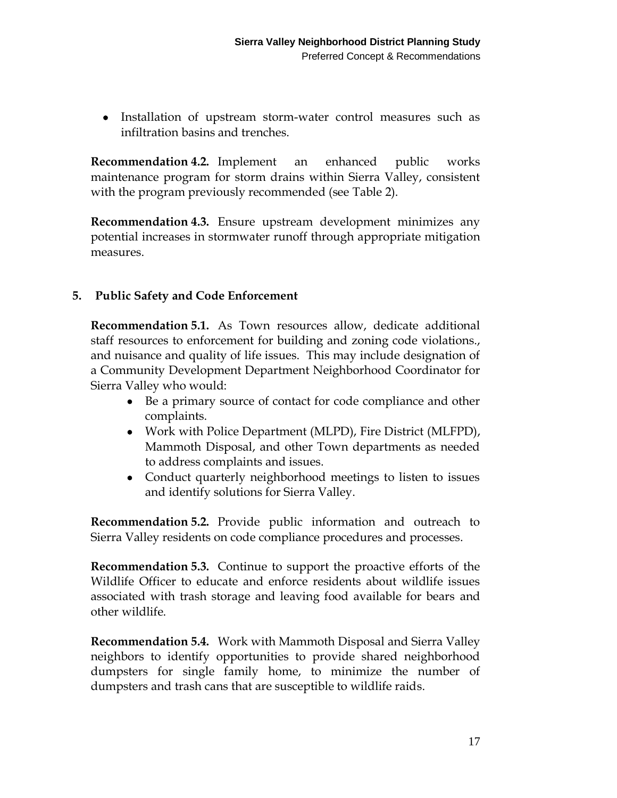• Installation of upstream storm-water control measures such as infiltration basins and trenches.

**Recommendation 4.2.** Implement an enhanced public works maintenance program for storm drains within Sierra Valley, consistent with the program previously recommended (see [Table 2\)](#page-17-0).

**Recommendation 4.3.** Ensure upstream development minimizes any potential increases in stormwater runoff through appropriate mitigation measures.

# **5. Public Safety and Code Enforcement**

**Recommendation 5.1.** As Town resources allow, dedicate additional staff resources to enforcement for building and zoning code violations., and nuisance and quality of life issues. This may include designation of a Community Development Department Neighborhood Coordinator for Sierra Valley who would:

- Be a primary source of contact for code compliance and other complaints.
- Work with Police Department (MLPD), Fire District (MLFPD), Mammoth Disposal, and other Town departments as needed to address complaints and issues.
- Conduct quarterly neighborhood meetings to listen to issues and identify solutions for Sierra Valley.

**Recommendation 5.2.** Provide public information and outreach to Sierra Valley residents on code compliance procedures and processes.

**Recommendation 5.3.** Continue to support the proactive efforts of the Wildlife Officer to educate and enforce residents about wildlife issues associated with trash storage and leaving food available for bears and other wildlife.

**Recommendation 5.4.** Work with Mammoth Disposal and Sierra Valley neighbors to identify opportunities to provide shared neighborhood dumpsters for single family home, to minimize the number of dumpsters and trash cans that are susceptible to wildlife raids.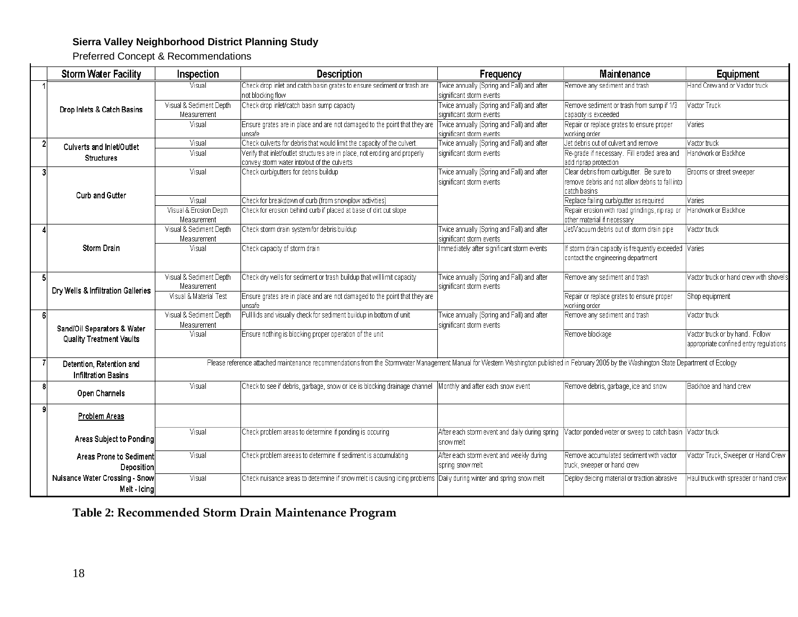### **Sierra Valley Neighborhood District Planning Study**

Preferred Concept & Recommendations

 $\mathbf{r}$ 

|                | <b>Storm Water Facility</b>        | Inspection              | <b>Description</b>                                                                                                                                                                          | Frequency                                                              | Maintenance                                                 | Equipment                              |
|----------------|------------------------------------|-------------------------|---------------------------------------------------------------------------------------------------------------------------------------------------------------------------------------------|------------------------------------------------------------------------|-------------------------------------------------------------|----------------------------------------|
|                |                                    | Visual                  | Check drop inlet and catch basin grates to ensure sediment or trash are                                                                                                                     | Twice annually (Spring and Fall) and after                             | Remove any sediment and trash                               | Hand Crew and or Vactor truck          |
|                |                                    |                         | not blocking flow                                                                                                                                                                           | significant storm events                                               |                                                             |                                        |
|                | Drop Inlets & Catch Basins         | Visual & Sediment Depth | Check drop inlet/catch basin sump capacity                                                                                                                                                  | Twice annually (Spring and Fall) and after                             | Remove sediment or trash from sump if 1/3                   | Vactor Truck                           |
|                |                                    | Measurement             |                                                                                                                                                                                             | significant storm events                                               | capacity is exceeded                                        |                                        |
|                |                                    | Visual                  | Ensure grates are in place and are not damaged to the point that they are<br>unsafe                                                                                                         | Twice annually (Spring and Fall) and after<br>significant storm events | Repair or replace grates to ensure proper<br>lworkina order | Varies                                 |
| $\overline{2}$ | Culverts and Inlet/Outlet          | Visual                  | Check culverts for debris that would limit the capacity of the culvert.                                                                                                                     | Twice annually (Spring and Fall) and after                             | Jet debris out of culvert and remove                        | Vactor truck                           |
|                | <b>Structures</b>                  | Visual                  | Verify that inlet/outlet structures are in place, not eroding and properly                                                                                                                  | significant storm events                                               | Re-grade if necessary. Fill eroded area and                 | Handwork or Backhoe                    |
|                |                                    |                         | convey storm water into/out of the culverts                                                                                                                                                 |                                                                        | add riprap protection                                       |                                        |
|                |                                    | Visual                  | Check curb/gutters for debris buildup                                                                                                                                                       | Twice annually (Spring and Fall) and after                             | Clear debris from curb/gutter. Be sure to                   | Brooms or street sweeper               |
|                |                                    |                         |                                                                                                                                                                                             | significant storm events                                               | remove debris and not allow debris to fall into             |                                        |
|                | Curb and Gutter                    |                         |                                                                                                                                                                                             |                                                                        | Icatch basins                                               |                                        |
|                |                                    | Visual                  | Check for breakdown of curb (from snowplow activities)                                                                                                                                      |                                                                        | Replace failing curb/gutter as required                     | Varies                                 |
|                |                                    | Visual & Erosion Depth  | Check for erosion behind curb if placed at base of dirt cut slope                                                                                                                           |                                                                        | Repair erosion with road grindings, rip rap or              | Handwork or Backhoe                    |
|                |                                    | Measurement             |                                                                                                                                                                                             |                                                                        | other material if necessary                                 |                                        |
|                |                                    | Visual & Sediment Depth | Check storm drain system for debris buildup                                                                                                                                                 | Twice annually (Spring and Fall) and after                             | Jet/Vacuum debris out of storm drain pipe                   | Vactor truck                           |
|                | Storm Drain                        | Measurement             |                                                                                                                                                                                             | significant storm events                                               | If storm drain capacity is frequently exceeded Varies       |                                        |
|                |                                    | Visual                  | Check capacity of storm drain                                                                                                                                                               | Immediately after significant storm events                             | contact the engineering department                          |                                        |
|                |                                    |                         |                                                                                                                                                                                             |                                                                        |                                                             |                                        |
|                |                                    | Visual & Sediment Depth | Check dry wells for sediment or trash buildup that will limit capacity                                                                                                                      | Twice annually (Spring and Fall) and after                             | Remove any sediment and trash                               | Vactor truck or hand crew with shovels |
|                |                                    | Measurement             |                                                                                                                                                                                             | significant storm events                                               |                                                             |                                        |
|                | Dry Wells & Infiltration Galleries | Visual & Material Test  | Ensure grates are in place and are not damaged to the point that they are                                                                                                                   |                                                                        | Repair or replace grates to ensure proper                   | Shop equipment                         |
|                |                                    |                         | unsafe                                                                                                                                                                                      |                                                                        | working order                                               |                                        |
| 6              |                                    | Visual & Sediment Depth | Pull lids and visually check for sediment buildup in bottom of unit                                                                                                                         | Twice annually (Spring and Fall) and after                             | Remove any sediment and trash                               | Vactor truck                           |
|                | Sand/Oil Separators & Water        | Measurement             |                                                                                                                                                                                             | significant storm events                                               |                                                             |                                        |
|                |                                    | Visual                  | Ensure nothing is blocking proper operation of the unit                                                                                                                                     |                                                                        | Remove blockage                                             | Vactor truck or by hand. Follow        |
|                | <b>Quality Treatment Vaults</b>    |                         |                                                                                                                                                                                             |                                                                        |                                                             | appropriate confined entry regulations |
|                |                                    |                         |                                                                                                                                                                                             |                                                                        |                                                             |                                        |
|                | Detention, Retention and           |                         | Please reference attached maintenance recommendations from the Stormwater Management Manual for Western Washington published in February 2005 by the Washington State Department of Ecology |                                                                        |                                                             |                                        |
|                | <b>Infiltration Basins</b>         |                         |                                                                                                                                                                                             |                                                                        |                                                             |                                        |
| 8              |                                    | Visual                  | Check to see if debris, garbage, snow or ice is blocking drainage channel                                                                                                                   | Monthly and after each snow event                                      | Remove debris, garbage, ice and snow                        | Backhoe and hand crew                  |
|                | Open Channels                      |                         |                                                                                                                                                                                             |                                                                        |                                                             |                                        |
|                |                                    |                         |                                                                                                                                                                                             |                                                                        |                                                             |                                        |
|                | <b>Problem Areas</b>               |                         |                                                                                                                                                                                             |                                                                        |                                                             |                                        |
|                |                                    |                         |                                                                                                                                                                                             |                                                                        |                                                             |                                        |
|                | Areas Subject to Ponding           | Visual                  | Check problem areas to determine if ponding is occuring                                                                                                                                     | After each storm event and daily during spring                         | Vactor ponded water or sweep to catch basin Vactor truck    |                                        |
|                |                                    |                         |                                                                                                                                                                                             | snow melt                                                              |                                                             |                                        |
|                | Areas Prone to Sediment            | Visual                  | Check problem areeas to determine if sediment is accumulating                                                                                                                               | After each storm event and weekly during                               | Remove accumulated sediment with vactor                     | Vactor Truck, Sweeper or Hand Crew     |
|                | Deposition                         |                         |                                                                                                                                                                                             | spring snow melt                                                       | truck, sweeper or hand crew                                 |                                        |
|                | Nuisance Water Crossing - Snow     | Visual                  | Check nuisance areas to determine if snow melt is causing icing problems Daily during winter and spring snow melt                                                                           |                                                                        | Deploy deicing material or traction abrasive                | Haul truck with spreader or hand crew  |
|                |                                    |                         |                                                                                                                                                                                             |                                                                        |                                                             |                                        |
|                | Melt - Icing                       |                         |                                                                                                                                                                                             |                                                                        |                                                             |                                        |

<span id="page-17-0"></span>**Table 2: Recommended Storm Drain Maintenance Program**